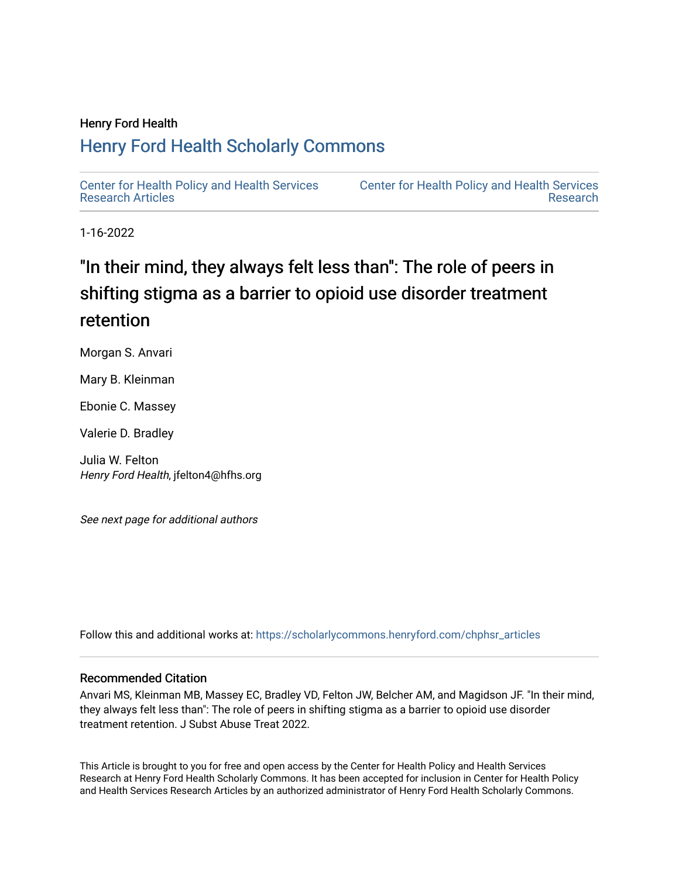### Henry Ford Health

## [Henry Ford Health Scholarly Commons](https://scholarlycommons.henryford.com/)

[Center for Health Policy and Health Services](https://scholarlycommons.henryford.com/chphsr_articles) [Research Articles](https://scholarlycommons.henryford.com/chphsr_articles) 

[Center for Health Policy and Health Services](https://scholarlycommons.henryford.com/chphsr)  [Research](https://scholarlycommons.henryford.com/chphsr) 

1-16-2022

# "In their mind, they always felt less than": The role of peers in shifting stigma as a barrier to opioid use disorder treatment retention

Morgan S. Anvari

Mary B. Kleinman

Ebonie C. Massey

Valerie D. Bradley

Julia W. Felton Henry Ford Health, jfelton4@hfhs.org

See next page for additional authors

Follow this and additional works at: [https://scholarlycommons.henryford.com/chphsr\\_articles](https://scholarlycommons.henryford.com/chphsr_articles?utm_source=scholarlycommons.henryford.com%2Fchphsr_articles%2F252&utm_medium=PDF&utm_campaign=PDFCoverPages) 

### Recommended Citation

Anvari MS, Kleinman MB, Massey EC, Bradley VD, Felton JW, Belcher AM, and Magidson JF. "In their mind, they always felt less than": The role of peers in shifting stigma as a barrier to opioid use disorder treatment retention. J Subst Abuse Treat 2022.

This Article is brought to you for free and open access by the Center for Health Policy and Health Services Research at Henry Ford Health Scholarly Commons. It has been accepted for inclusion in Center for Health Policy and Health Services Research Articles by an authorized administrator of Henry Ford Health Scholarly Commons.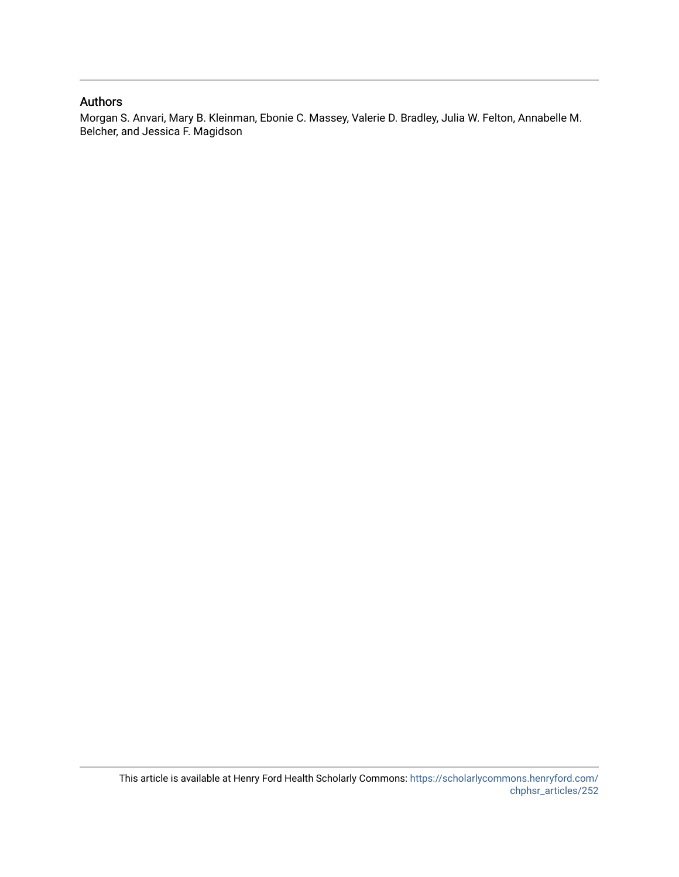### Authors

Morgan S. Anvari, Mary B. Kleinman, Ebonie C. Massey, Valerie D. Bradley, Julia W. Felton, Annabelle M. Belcher, and Jessica F. Magidson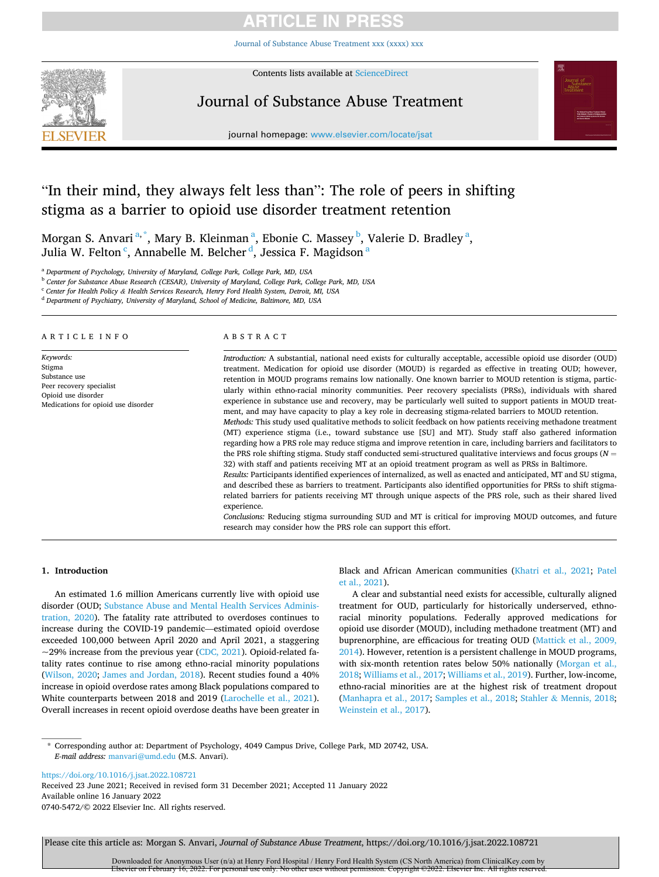[Journal of Substance Abuse Treatment xxx \(xxxx\) xxx](https://doi.org/10.1016/j.jsat.2022.108721)



Contents lists available at [ScienceDirect](www.sciencedirect.com/science/journal/07405472)

### Journal of Substance Abuse Treatment



journal homepage: [www.elsevier.com/locate/jsat](https://www.elsevier.com/locate/jsat) 

### "In their mind, they always felt less than": The role of peers in shifting stigma as a barrier to opioid use disorder treatment retention

Morgan S. Anvari<sup>a,\*</sup>, Mary B. Kleinman<sup>a</sup>, Ebonie C. Massey<sup>b</sup>, Valerie D. Bradley<sup>a</sup>, Julia W. Felton  $\mathbf{^c,}$  Annabelle M. Belcher  $\mathbf{^d,}$  Jessica F. Magidson  $\mathbf{^a}$ 

<sup>a</sup> *Department of Psychology, University of Maryland, College Park, College Park, MD, USA* 

<sup>b</sup> *Center for Substance Abuse Research (CESAR), University of Maryland, College Park, College Park, MD, USA* 

<sup>c</sup> *Center for Health Policy & Health Services Research, Henry Ford Health System, Detroit, MI, USA* 

<sup>d</sup> *Department of Psychiatry, University of Maryland, School of Medicine, Baltimore, MD, USA* 

#### ARTICLE INFO

*Keywords:*  Stigma Substance use Peer recovery specialist Opioid use disorder Medications for opioid use disorder

#### ABSTRACT

*Introduction:* A substantial, national need exists for culturally acceptable, accessible opioid use disorder (OUD) treatment. Medication for opioid use disorder (MOUD) is regarded as effective in treating OUD; however, retention in MOUD programs remains low nationally. One known barrier to MOUD retention is stigma, particularly within ethno-racial minority communities. Peer recovery specialists (PRSs), individuals with shared experience in substance use and recovery, may be particularly well suited to support patients in MOUD treatment, and may have capacity to play a key role in decreasing stigma-related barriers to MOUD retention.

*Methods:* This study used qualitative methods to solicit feedback on how patients receiving methadone treatment (MT) experience stigma (i.e., toward substance use [SU] and MT). Study staff also gathered information regarding how a PRS role may reduce stigma and improve retention in care, including barriers and facilitators to the PRS role shifting stigma. Study staff conducted semi-structured qualitative interviews and focus groups (*N* = 32) with staff and patients receiving MT at an opioid treatment program as well as PRSs in Baltimore.

*Results:* Participants identified experiences of internalized, as well as enacted and anticipated, MT and SU stigma, and described these as barriers to treatment. Participants also identified opportunities for PRSs to shift stigmarelated barriers for patients receiving MT through unique aspects of the PRS role, such as their shared lived experience.

*Conclusions:* Reducing stigma surrounding SUD and MT is critical for improving MOUD outcomes, and future research may consider how the PRS role can support this effort.

#### **1. Introduction**

An estimated 1.6 million Americans currently live with opioid use disorder (OUD; [Substance Abuse and Mental Health Services Adminis](#page-8-0)[tration, 2020](#page-8-0)). The fatality rate attributed to overdoses continues to increase during the COVID-19 pandemic—estimated opioid overdose exceeded 100,000 between April 2020 and April 2021, a staggering  $\sim$ 29% increase from the previous year [\(CDC, 2021](#page-7-0)). Opioid-related fatality rates continue to rise among ethno-racial minority populations ([Wilson, 2020;](#page-8-0) [James and Jordan, 2018\)](#page-7-0). Recent studies found a 40% increase in opioid overdose rates among Black populations compared to White counterparts between 2018 and 2019 [\(Larochelle et al., 2021](#page-7-0)). Overall increases in recent opioid overdose deaths have been greater in Black and African American communities [\(Khatri et al., 2021](#page-7-0); [Patel](#page-8-0)  [et al., 2021\)](#page-8-0).

A clear and substantial need exists for accessible, culturally aligned treatment for OUD, particularly for historically underserved, ethnoracial minority populations. Federally approved medications for opioid use disorder (MOUD), including methadone treatment (MT) and buprenorphine, are efficacious for treating OUD ([Mattick et al., 2009,](#page-8-0)  [2014\)](#page-8-0). However, retention is a persistent challenge in MOUD programs, with six-month retention rates below 50% nationally [\(Morgan et al.,](#page-8-0)  [2018; Williams et al., 2017; Williams et al., 2019\)](#page-8-0). Further, low-income, ethno-racial minorities are at the highest risk of treatment dropout ([Manhapra et al., 2017;](#page-7-0) [Samples et al., 2018;](#page-8-0) Stahler & [Mennis, 2018](#page-8-0); [Weinstein et al., 2017](#page-8-0)).

\* Corresponding author at: Department of Psychology, 4049 Campus Drive, College Park, MD 20742, USA. *E-mail address:* [manvari@umd.edu](mailto:manvari@umd.edu) (M.S. Anvari).

<https://doi.org/10.1016/j.jsat.2022.108721>

Available online 16 January 2022 0740-5472/© 2022 Elsevier Inc. All rights reserved. Received 23 June 2021; Received in revised form 31 December 2021; Accepted 11 January 2022

Please cite this article as: Morgan S. Anvari, *Journal of Substance Abuse Treatment*, https://doi.org/10.1016/j.jsat.2022.108721

Downloaded for Anonymous User (n/a) at Henry Ford Hospital / Henry Ford Health System (CS North America) from ClinicalKey.com by Elsevier on February 16, 2022. For personal use only. No other uses without permission. Copyright ©2022. Elsevier Inc. All rights reserved.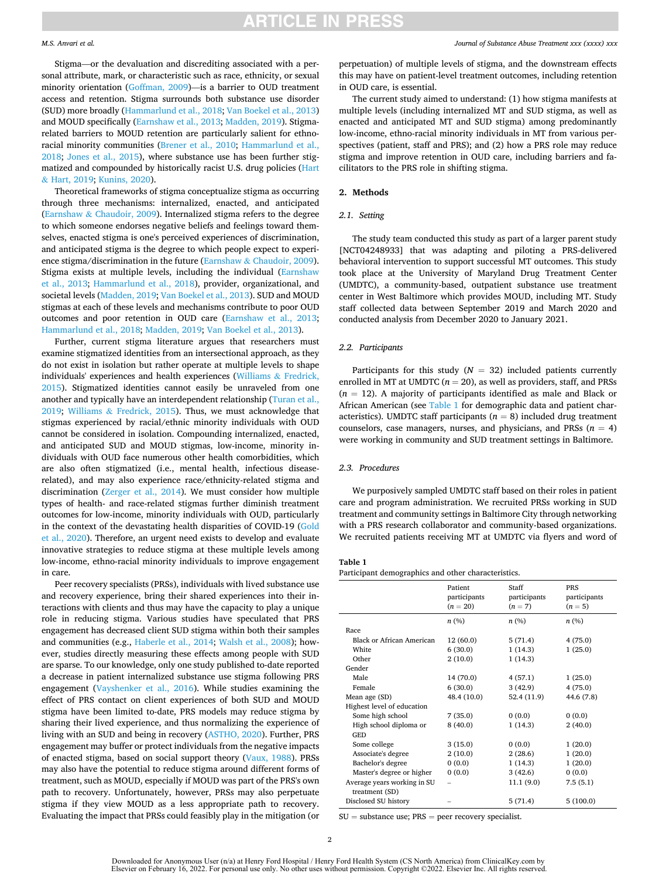#### *M.S. Anvari et al.*

Stigma—or the devaluation and discrediting associated with a personal attribute, mark, or characteristic such as race, ethnicity, or sexual minority orientation [\(Goffman, 2009\)](#page-7-0)—is a barrier to OUD treatment access and retention. Stigma surrounds both substance use disorder (SUD) more broadly ([Hammarlund et al., 2018;](#page-7-0) [Van Boekel et al., 2013\)](#page-8-0) and MOUD specifically [\(Earnshaw et al., 2013](#page-7-0); [Madden, 2019](#page-7-0)). Stigmarelated barriers to MOUD retention are particularly salient for ethnoracial minority communities [\(Brener et al., 2010](#page-7-0); [Hammarlund et al.,](#page-7-0)  [2018;](#page-7-0) [Jones et al., 2015\)](#page-7-0), where substance use has been further stigmatized and compounded by historically racist U.S. drug policies ([Hart](#page-7-0)  & [Hart, 2019; Kunins, 2020](#page-7-0)).

Theoretical frameworks of stigma conceptualize stigma as occurring through three mechanisms: internalized, enacted, and anticipated (Earnshaw & [Chaudoir, 2009](#page-7-0)). Internalized stigma refers to the degree to which someone endorses negative beliefs and feelings toward themselves, enacted stigma is one's perceived experiences of discrimination, and anticipated stigma is the degree to which people expect to experience stigma/discrimination in the future (Earnshaw & [Chaudoir, 2009](#page-7-0)). Stigma exists at multiple levels, including the individual [\(Earnshaw](#page-7-0)  [et al., 2013](#page-7-0); [Hammarlund et al., 2018\)](#page-7-0), provider, organizational, and societal levels ([Madden, 2019](#page-7-0); [Van Boekel et al., 2013\)](#page-8-0). SUD and MOUD stigmas at each of these levels and mechanisms contribute to poor OUD outcomes and poor retention in OUD care ([Earnshaw et al., 2013](#page-7-0); [Hammarlund et al., 2018; Madden, 2019](#page-7-0); [Van Boekel et al., 2013\)](#page-8-0).

Further, current stigma literature argues that researchers must examine stigmatized identities from an intersectional approach, as they do not exist in isolation but rather operate at multiple levels to shape individuals' experiences and health experiences ([Williams](#page-8-0) & Fredrick, [2015\)](#page-8-0). Stigmatized identities cannot easily be unraveled from one another and typically have an interdependent relationship [\(Turan et al.,](#page-8-0)  [2019;](#page-8-0) Williams & [Fredrick, 2015\)](#page-8-0). Thus, we must acknowledge that stigmas experienced by racial/ethnic minority individuals with OUD cannot be considered in isolation. Compounding internalized, enacted, and anticipated SUD and MOUD stigmas, low-income, minority individuals with OUD face numerous other health comorbidities, which are also often stigmatized (i.e., mental health, infectious diseaserelated), and may also experience race/ethnicity-related stigma and discrimination [\(Zerger et al., 2014\)](#page-8-0). We must consider how multiple types of health- and race-related stigmas further diminish treatment outcomes for low-income, minority individuals with OUD, particularly in the context of the devastating health disparities of COVID-19 ([Gold](#page-7-0)  [et al., 2020](#page-7-0)). Therefore, an urgent need exists to develop and evaluate innovative strategies to reduce stigma at these multiple levels among low-income, ethno-racial minority individuals to improve engagement in care.

Peer recovery specialists (PRSs), individuals with lived substance use and recovery experience, bring their shared experiences into their interactions with clients and thus may have the capacity to play a unique role in reducing stigma. Various studies have speculated that PRS engagement has decreased client SUD stigma within both their samples and communities (e.g., [Haberle et al., 2014](#page-7-0); [Walsh et al., 2008](#page-8-0)); however, studies directly measuring these effects among people with SUD are sparse. To our knowledge, only one study published to-date reported a decrease in patient internalized substance use stigma following PRS engagement [\(Vayshenker et al., 2016](#page-8-0)). While studies examining the effect of PRS contact on client experiences of both SUD and MOUD stigma have been limited to-date, PRS models may reduce stigma by sharing their lived experience, and thus normalizing the experience of living with an SUD and being in recovery [\(ASTHO, 2020\)](#page-7-0). Further, PRS engagement may buffer or protect individuals from the negative impacts of enacted stigma, based on social support theory [\(Vaux, 1988](#page-8-0)). PRSs may also have the potential to reduce stigma around different forms of treatment, such as MOUD, especially if MOUD was part of the PRS's own path to recovery. Unfortunately, however, PRSs may also perpetuate stigma if they view MOUD as a less appropriate path to recovery. Evaluating the impact that PRSs could feasibly play in the mitigation (or

perpetuation) of multiple levels of stigma, and the downstream effects this may have on patient-level treatment outcomes, including retention in OUD care, is essential.

The current study aimed to understand: (1) how stigma manifests at multiple levels (including internalized MT and SUD stigma, as well as enacted and anticipated MT and SUD stigma) among predominantly low-income, ethno-racial minority individuals in MT from various perspectives (patient, staff and PRS); and (2) how a PRS role may reduce stigma and improve retention in OUD care, including barriers and facilitators to the PRS role in shifting stigma.

#### **2. Methods**

#### *2.1. Setting*

The study team conducted this study as part of a larger parent study [NCT04248933] that was adapting and piloting a PRS-delivered behavioral intervention to support successful MT outcomes. This study took place at the University of Maryland Drug Treatment Center (UMDTC), a community-based, outpatient substance use treatment center in West Baltimore which provides MOUD, including MT. Study staff collected data between September 2019 and March 2020 and conducted analysis from December 2020 to January 2021.

#### *2.2. Participants*

Participants for this study ( $N = 32$ ) included patients currently enrolled in MT at UMDTC  $(n = 20)$ , as well as providers, staff, and PRSs (*n* = 12). A majority of participants identified as male and Black or African American (see Table 1 for demographic data and patient characteristics). UMDTC staff participants ( $n = 8$ ) included drug treatment counselors, case managers, nurses, and physicians, and PRSs  $(n = 4)$ were working in community and SUD treatment settings in Baltimore.

#### *2.3. Procedures*

We purposively sampled UMDTC staff based on their roles in patient care and program administration. We recruited PRSs working in SUD treatment and community settings in Baltimore City through networking with a PRS research collaborator and community-based organizations. We recruited patients receiving MT at UMDTC via flyers and word of

#### **Table 1**

#### Participant demographics and other characteristics.

|                                  | Patient<br>participants<br>$(n = 20)$ | Staff<br>participants<br>$(n = 7)$ | <b>PRS</b><br>participants<br>$(n = 5)$ |
|----------------------------------|---------------------------------------|------------------------------------|-----------------------------------------|
|                                  | n(%)                                  | n(%)                               | n(%)                                    |
| Race                             |                                       |                                    |                                         |
| <b>Black or African American</b> | 12 (60.0)                             | 5(71.4)                            | 4(75.0)                                 |
| White                            | 6(30.0)                               | 1(14.3)                            | 1(25.0)                                 |
| Other                            | 2(10.0)                               | 1(14.3)                            |                                         |
| Gender                           |                                       |                                    |                                         |
| Male                             | 14 (70.0)                             | 4(57.1)                            | 1(25.0)                                 |
| Female                           | 6(30.0)                               | 3(42.9)                            | 4(75.0)                                 |
| Mean age (SD)                    | 48.4 (10.0)                           | 52.4 (11.9)                        | 44.6 (7.8)                              |
| Highest level of education       |                                       |                                    |                                         |
| Some high school                 | 7(35.0)                               | 0(0.0)                             | 0(0.0)                                  |
| High school diploma or           | 8(40.0)                               | 1(14.3)                            | 2(40.0)                                 |
| <b>GED</b>                       |                                       |                                    |                                         |
| Some college                     | 3(15.0)                               | 0(0.0)                             | 1(20.0)                                 |
| Associate's degree               | 2(10.0)                               | 2(28.6)                            | 1(20.0)                                 |
| Bachelor's degree                | 0(0.0)                                | 1(14.3)                            | 1(20.0)                                 |
| Master's degree or higher        | 0(0.0)                                | 3(42.6)                            | 0(0.0)                                  |
| Average years working in SU      |                                       | 11.1(9.0)                          | 7.5(5.1)                                |
| treatment (SD)                   |                                       |                                    |                                         |
| Disclosed SU history             |                                       | 5(71.4)                            | 5(100.0)                                |

SU = substance use; PRS = peer recovery specialist.

Downloaded for Anonymous User (n/a) at Henry Ford Hospital / Henry Ford Health System (CS North America) from ClinicalKey.com by Elsevier on February 16, 2022. For personal use only. No other uses without permission. Copyright ©2022. Elsevier Inc. All rights reserved.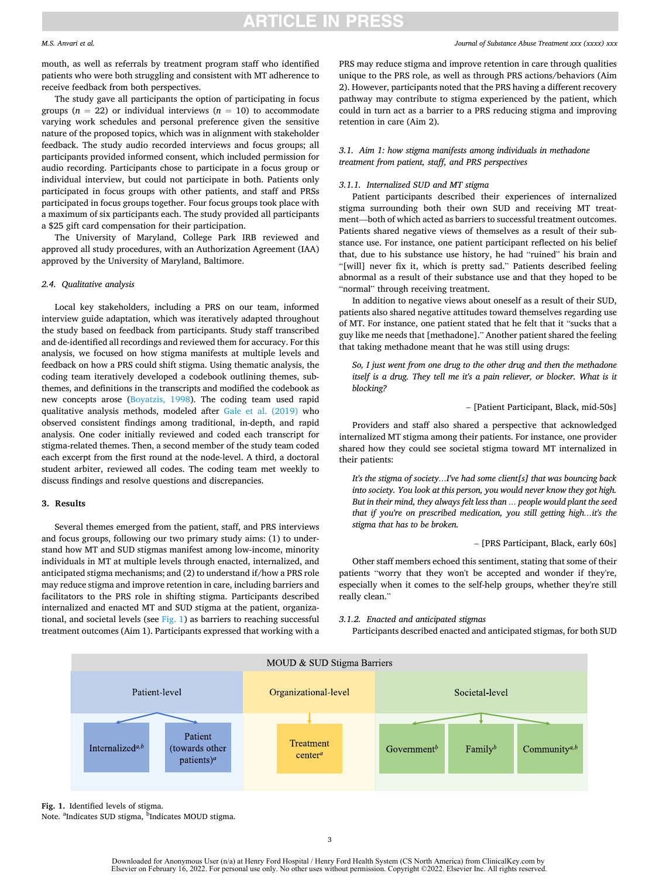#### *M.S. Anvari et al.*

mouth, as well as referrals by treatment program staff who identified patients who were both struggling and consistent with MT adherence to receive feedback from both perspectives.

The study gave all participants the option of participating in focus groups  $(n = 22)$  or individual interviews  $(n = 10)$  to accommodate varying work schedules and personal preference given the sensitive nature of the proposed topics, which was in alignment with stakeholder feedback. The study audio recorded interviews and focus groups; all participants provided informed consent, which included permission for audio recording. Participants chose to participate in a focus group or individual interview, but could not participate in both. Patients only participated in focus groups with other patients, and staff and PRSs participated in focus groups together. Four focus groups took place with a maximum of six participants each. The study provided all participants a \$25 gift card compensation for their participation.

The University of Maryland, College Park IRB reviewed and approved all study procedures, with an Authorization Agreement (IAA) approved by the University of Maryland, Baltimore.

#### *2.4. Qualitative analysis*

Local key stakeholders, including a PRS on our team, informed interview guide adaptation, which was iteratively adapted throughout the study based on feedback from participants. Study staff transcribed and de-identified all recordings and reviewed them for accuracy. For this analysis, we focused on how stigma manifests at multiple levels and feedback on how a PRS could shift stigma. Using thematic analysis, the coding team iteratively developed a codebook outlining themes, subthemes, and definitions in the transcripts and modified the codebook as new concepts arose ([Boyatzis, 1998\)](#page-7-0). The coding team used rapid qualitative analysis methods, modeled after [Gale et al. \(2019\)](#page-7-0) who observed consistent findings among traditional, in-depth, and rapid analysis. One coder initially reviewed and coded each transcript for stigma-related themes. Then, a second member of the study team coded each excerpt from the first round at the node-level. A third, a doctoral student arbiter, reviewed all codes. The coding team met weekly to discuss findings and resolve questions and discrepancies.

#### **3. Results**

Several themes emerged from the patient, staff, and PRS interviews and focus groups, following our two primary study aims: (1) to understand how MT and SUD stigmas manifest among low-income, minority individuals in MT at multiple levels through enacted, internalized, and anticipated stigma mechanisms; and (2) to understand if/how a PRS role may reduce stigma and improve retention in care, including barriers and facilitators to the PRS role in shifting stigma. Participants described internalized and enacted MT and SUD stigma at the patient, organizational, and societal levels (see  $Fig. 1$ ) as barriers to reaching successful treatment outcomes (Aim 1). Participants expressed that working with a

PRS may reduce stigma and improve retention in care through qualities unique to the PRS role, as well as through PRS actions/behaviors (Aim 2). However, participants noted that the PRS having a different recovery pathway may contribute to stigma experienced by the patient, which could in turn act as a barrier to a PRS reducing stigma and improving retention in care (Aim 2).

#### *3.1. Aim 1: how stigma manifests among individuals in methadone treatment from patient, staff, and PRS perspectives*

#### *3.1.1. Internalized SUD and MT stigma*

Patient participants described their experiences of internalized stigma surrounding both their own SUD and receiving MT treatment—both of which acted as barriers to successful treatment outcomes. Patients shared negative views of themselves as a result of their substance use. For instance, one patient participant reflected on his belief that, due to his substance use history, he had "ruined" his brain and "[will] never fix it, which is pretty sad." Patients described feeling abnormal as a result of their substance use and that they hoped to be "normal" through receiving treatment.

In addition to negative views about oneself as a result of their SUD, patients also shared negative attitudes toward themselves regarding use of MT. For instance, one patient stated that he felt that it "sucks that a guy like me needs that [methadone]." Another patient shared the feeling that taking methadone meant that he was still using drugs:

*So, I just went from one drug to the other drug and then the methadone itself is a drug. They tell me it's a pain reliever, or blocker. What is it blocking?* 

– [Patient Participant, Black, mid-50s]

Providers and staff also shared a perspective that acknowledged internalized MT stigma among their patients. For instance, one provider shared how they could see societal stigma toward MT internalized in their patients:

*It's the stigma of society…I've had some client[s] that was bouncing back into society. You look at this person, you would never know they got high. But in their mind, they always felt less than … people would plant the seed that if you're on prescribed medication, you still getting high…it's the stigma that has to be broken.* 

– [PRS Participant, Black, early 60s]

Other staff members echoed this sentiment, stating that some of their patients "worry that they won't be accepted and wonder if they're, especially when it comes to the self-help groups, whether they're still really clean."

#### *3.1.2. Enacted and anticipated stigmas*

Participants described enacted and anticipated stigmas, for both SUD



**Fig. 1.** Identified levels of stigma.

Note. <sup>a</sup>Indicates SUD stigma, <sup>b</sup>Indicates MOUD stigma.

Downloaded for Anonymous User (n/a) at Henry Ford Hospital / Henry Ford Health System (CS North America) from ClinicalKey.com by<br>Elsevier on February 16, 2022. For personal use only. No other uses without permission. Copyr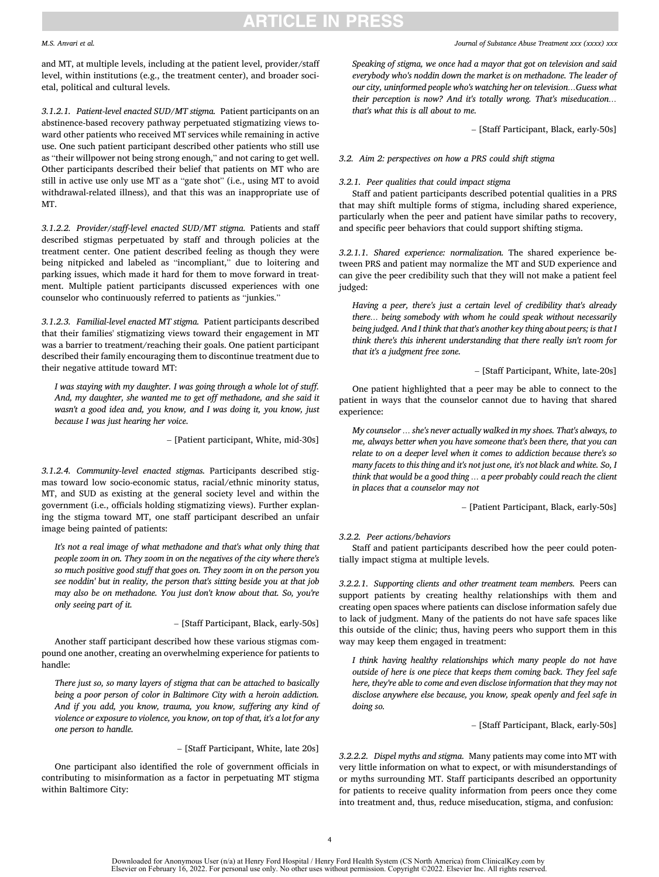#### *M.S. Anvari et al.*

and MT, at multiple levels, including at the patient level, provider/staff level, within institutions (e.g., the treatment center), and broader societal, political and cultural levels.

*3.1.2.1. Patient-level enacted SUD/MT stigma.* Patient participants on an abstinence-based recovery pathway perpetuated stigmatizing views toward other patients who received MT services while remaining in active use. One such patient participant described other patients who still use as "their willpower not being strong enough," and not caring to get well. Other participants described their belief that patients on MT who are still in active use only use MT as a "gate shot" (i.e., using MT to avoid withdrawal-related illness), and that this was an inappropriate use of MT.

*3.1.2.2. Provider/staff-level enacted SUD/MT stigma.* Patients and staff described stigmas perpetuated by staff and through policies at the treatment center. One patient described feeling as though they were being nitpicked and labeled as "incompliant," due to loitering and parking issues, which made it hard for them to move forward in treatment. Multiple patient participants discussed experiences with one counselor who continuously referred to patients as "junkies."

*3.1.2.3. Familial-level enacted MT stigma.* Patient participants described that their families' stigmatizing views toward their engagement in MT was a barrier to treatment/reaching their goals. One patient participant described their family encouraging them to discontinue treatment due to their negative attitude toward MT:

*I was staying with my daughter. I was going through a whole lot of stuff. And, my daughter, she wanted me to get off methadone, and she said it wasn't a good idea and, you know, and I was doing it, you know, just because I was just hearing her voice.* 

– [Patient participant, White, mid-30s]

*3.1.2.4. Community-level enacted stigmas.* Participants described stigmas toward low socio-economic status, racial/ethnic minority status, MT, and SUD as existing at the general society level and within the government (i.e., officials holding stigmatizing views). Further explaning the stigma toward MT, one staff participant described an unfair image being painted of patients:

*It's not a real image of what methadone and that's what only thing that people zoom in on. They zoom in on the negatives of the city where there's so much positive good stuff that goes on. They zoom in on the person you see noddin' but in reality, the person that's sitting beside you at that job may also be on methadone. You just don't know about that. So, you're only seeing part of it.* 

– [Staff Participant, Black, early-50s]

Another staff participant described how these various stigmas compound one another, creating an overwhelming experience for patients to handle:

*There just so, so many layers of stigma that can be attached to basically being a poor person of color in Baltimore City with a heroin addiction. And if you add, you know, trauma, you know, suffering any kind of violence or exposure to violence, you know, on top of that, it's a lot for any one person to handle.* 

– [Staff Participant, White, late 20s]

One participant also identified the role of government officials in contributing to misinformation as a factor in perpetuating MT stigma within Baltimore City:

*Speaking of stigma, we once had a mayor that got on television and said everybody who's noddin down the market is on methadone. The leader of our city, uninformed people who's watching her on television…Guess what their perception is now? And it's totally wrong. That's miseducation… that's what this is all about to me.* 

– [Staff Participant, Black, early-50s]

*3.2. Aim 2: perspectives on how a PRS could shift stigma* 

#### *3.2.1. Peer qualities that could impact stigma*

Staff and patient participants described potential qualities in a PRS that may shift multiple forms of stigma, including shared experience, particularly when the peer and patient have similar paths to recovery, and specific peer behaviors that could support shifting stigma.

*3.2.1.1. Shared experience: normalization.* The shared experience between PRS and patient may normalize the MT and SUD experience and can give the peer credibility such that they will not make a patient feel judged:

*Having a peer, there's just a certain level of credibility that's already there… being somebody with whom he could speak without necessarily being judged. And I think that that's another key thing about peers; is that I think there's this inherent understanding that there really isn't room for that it's a judgment free zone.* 

– [Staff Participant, White, late-20s]

One patient highlighted that a peer may be able to connect to the patient in ways that the counselor cannot due to having that shared experience:

*My counselor … she's never actually walked in my shoes. That's always, to me, always better when you have someone that's been there, that you can relate to on a deeper level when it comes to addiction because there's so many facets to this thing and it's not just one, it's not black and white. So, I think that would be a good thing … a peer probably could reach the client in places that a counselor may not* 

– [Patient Participant, Black, early-50s]

#### *3.2.2. Peer actions/behaviors*

Staff and patient participants described how the peer could potentially impact stigma at multiple levels.

*3.2.2.1. Supporting clients and other treatment team members.* Peers can support patients by creating healthy relationships with them and creating open spaces where patients can disclose information safely due to lack of judgment. Many of the patients do not have safe spaces like this outside of the clinic; thus, having peers who support them in this way may keep them engaged in treatment:

*I think having healthy relationships which many people do not have outside of here is one piece that keeps them coming back. They feel safe here, they're able to come and even disclose information that they may not disclose anywhere else because, you know, speak openly and feel safe in doing so.* 

– [Staff Participant, Black, early-50s]

*3.2.2.2. Dispel myths and stigma.* Many patients may come into MT with very little information on what to expect, or with misunderstandings of or myths surrounding MT. Staff participants described an opportunity for patients to receive quality information from peers once they come into treatment and, thus, reduce miseducation, stigma, and confusion: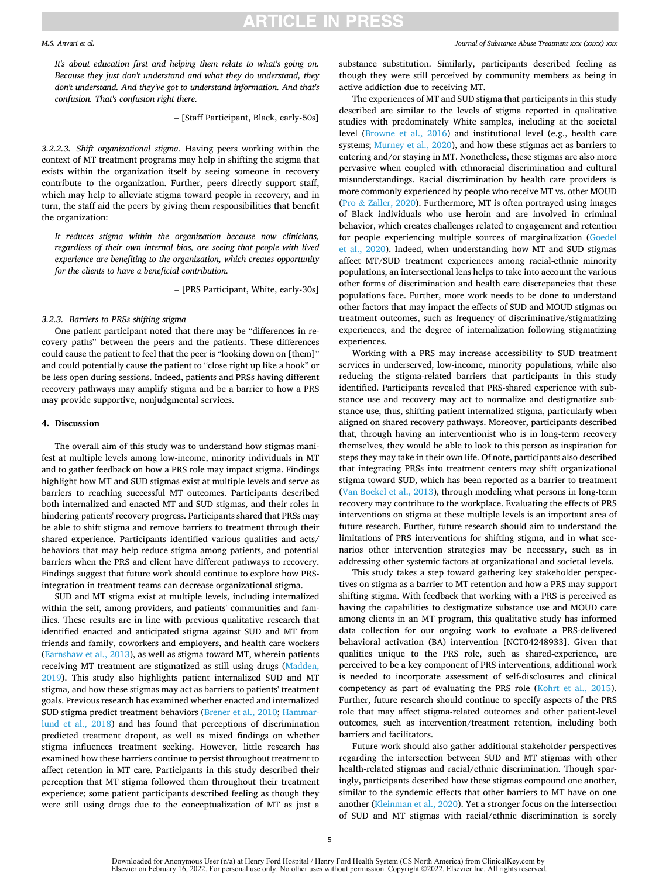*It's about education first and helping them relate to what's going on. Because they just don't understand and what they do understand, they don't understand. And they've got to understand information. And that's confusion. That's confusion right there.* 

– [Staff Participant, Black, early-50s]

*3.2.2.3. Shift organizational stigma.* Having peers working within the context of MT treatment programs may help in shifting the stigma that exists within the organization itself by seeing someone in recovery contribute to the organization. Further, peers directly support staff, which may help to alleviate stigma toward people in recovery, and in turn, the staff aid the peers by giving them responsibilities that benefit the organization:

*It reduces stigma within the organization because now clinicians, regardless of their own internal bias, are seeing that people with lived experience are benefiting to the organization, which creates opportunity for the clients to have a beneficial contribution.* 

– [PRS Participant, White, early-30s]

#### *3.2.3. Barriers to PRSs shifting stigma*

One patient participant noted that there may be "differences in recovery paths" between the peers and the patients. These differences could cause the patient to feel that the peer is "looking down on [them]" and could potentially cause the patient to "close right up like a book" or be less open during sessions. Indeed, patients and PRSs having different recovery pathways may amplify stigma and be a barrier to how a PRS may provide supportive, nonjudgmental services.

#### **4. Discussion**

The overall aim of this study was to understand how stigmas manifest at multiple levels among low-income, minority individuals in MT and to gather feedback on how a PRS role may impact stigma. Findings highlight how MT and SUD stigmas exist at multiple levels and serve as barriers to reaching successful MT outcomes. Participants described both internalized and enacted MT and SUD stigmas, and their roles in hindering patients' recovery progress. Participants shared that PRSs may be able to shift stigma and remove barriers to treatment through their shared experience. Participants identified various qualities and acts/ behaviors that may help reduce stigma among patients, and potential barriers when the PRS and client have different pathways to recovery. Findings suggest that future work should continue to explore how PRSintegration in treatment teams can decrease organizational stigma.

SUD and MT stigma exist at multiple levels, including internalized within the self, among providers, and patients' communities and families. These results are in line with previous qualitative research that identified enacted and anticipated stigma against SUD and MT from friends and family, coworkers and employers, and health care workers ([Earnshaw et al., 2013](#page-7-0)), as well as stigma toward MT, wherein patients receiving MT treatment are stigmatized as still using drugs ([Madden,](#page-7-0)  [2019\)](#page-7-0). This study also highlights patient internalized SUD and MT stigma, and how these stigmas may act as barriers to patients' treatment goals. Previous research has examined whether enacted and internalized SUD stigma predict treatment behaviors ([Brener et al., 2010; Hammar](#page-7-0)[lund et al., 2018\)](#page-7-0) and has found that perceptions of discrimination predicted treatment dropout, as well as mixed findings on whether stigma influences treatment seeking. However, little research has examined how these barriers continue to persist throughout treatment to affect retention in MT care. Participants in this study described their perception that MT stigma followed them throughout their treatment experience; some patient participants described feeling as though they were still using drugs due to the conceptualization of MT as just a

#### *Journal of Substance Abuse Treatment xxx (xxxx) xxx*

substance substitution. Similarly, participants described feeling as though they were still perceived by community members as being in active addiction due to receiving MT.

The experiences of MT and SUD stigma that participants in this study described are similar to the levels of stigma reported in qualitative studies with predominately White samples, including at the societal level [\(Browne et al., 2016](#page-7-0)) and institutional level (e.g., health care systems; [Murney et al., 2020](#page-8-0)), and how these stigmas act as barriers to entering and/or staying in MT. Nonetheless, these stigmas are also more pervasive when coupled with ethnoracial discrimination and cultural misunderstandings. Racial discrimination by health care providers is more commonly experienced by people who receive MT vs. other MOUD (Pro & [Zaller, 2020\)](#page-8-0). Furthermore, MT is often portrayed using images of Black individuals who use heroin and are involved in criminal behavior, which creates challenges related to engagement and retention for people experiencing multiple sources of marginalization [\(Goedel](#page-7-0)  [et al., 2020\)](#page-7-0). Indeed, when understanding how MT and SUD stigmas affect MT/SUD treatment experiences among racial-ethnic minority populations, an intersectional lens helps to take into account the various other forms of discrimination and health care discrepancies that these populations face. Further, more work needs to be done to understand other factors that may impact the effects of SUD and MOUD stigmas on treatment outcomes, such as frequency of discriminative/stigmatizing experiences, and the degree of internalization following stigmatizing experiences.

Working with a PRS may increase accessibility to SUD treatment services in underserved, low-income, minority populations, while also reducing the stigma-related barriers that participants in this study identified. Participants revealed that PRS-shared experience with substance use and recovery may act to normalize and destigmatize substance use, thus, shifting patient internalized stigma, particularly when aligned on shared recovery pathways. Moreover, participants described that, through having an interventionist who is in long-term recovery themselves, they would be able to look to this person as inspiration for steps they may take in their own life. Of note, participants also described that integrating PRSs into treatment centers may shift organizational stigma toward SUD, which has been reported as a barrier to treatment ([Van Boekel et al., 2013\)](#page-8-0), through modeling what persons in long-term recovery may contribute to the workplace. Evaluating the effects of PRS interventions on stigma at these multiple levels is an important area of future research. Further, future research should aim to understand the limitations of PRS interventions for shifting stigma, and in what scenarios other intervention strategies may be necessary, such as in addressing other systemic factors at organizational and societal levels.

This study takes a step toward gathering key stakeholder perspectives on stigma as a barrier to MT retention and how a PRS may support shifting stigma. With feedback that working with a PRS is perceived as having the capabilities to destigmatize substance use and MOUD care among clients in an MT program, this qualitative study has informed data collection for our ongoing work to evaluate a PRS-delivered behavioral activation (BA) intervention [NCT04248933]. Given that qualities unique to the PRS role, such as shared-experience, are perceived to be a key component of PRS interventions, additional work is needed to incorporate assessment of self-disclosures and clinical competency as part of evaluating the PRS role ([Kohrt et al., 2015](#page-7-0)). Further, future research should continue to specify aspects of the PRS role that may affect stigma-related outcomes and other patient-level outcomes, such as intervention/treatment retention, including both barriers and facilitators.

Future work should also gather additional stakeholder perspectives regarding the intersection between SUD and MT stigmas with other health-related stigmas and racial/ethnic discrimination. Though sparingly, participants described how these stigmas compound one another, similar to the syndemic effects that other barriers to MT have on one another ([Kleinman et al., 2020\)](#page-7-0). Yet a stronger focus on the intersection of SUD and MT stigmas with racial/ethnic discrimination is sorely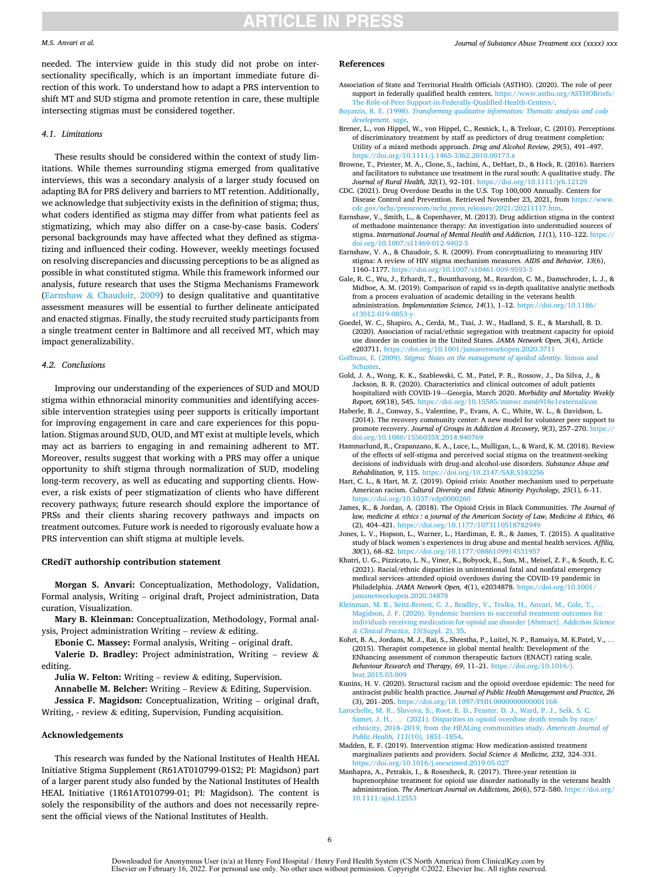#### <span id="page-7-0"></span>*M.S. Anvari et al.*

needed. The interview guide in this study did not probe on intersectionality specifically, which is an important immediate future direction of this work. To understand how to adapt a PRS intervention to shift MT and SUD stigma and promote retention in care, these multiple intersecting stigmas must be considered together.

#### *4.1. Limitations*

These results should be considered within the context of study limitations. While themes surrounding stigma emerged from qualitative interviews, this was a secondary analysis of a larger study focused on adapting BA for PRS delivery and barriers to MT retention. Additionally, we acknowledge that subjectivity exists in the definition of stigma; thus, what coders identified as stigma may differ from what patients feel as stigmatizing, which may also differ on a case-by-case basis. Coders' personal backgrounds may have affected what they defined as stigmatizing and influenced their coding. However, weekly meetings focused on resolving discrepancies and discussing perceptions to be as aligned as possible in what constituted stigma. While this framework informed our analysis, future research that uses the Stigma Mechanisms Framework (Earnshaw & Chaudoir, 2009) to design qualitative and quantitative assessment measures will be essential to further delineate anticipated and enacted stigmas. Finally, the study recruited study participants from a single treatment center in Baltimore and all received MT, which may impact generalizability.

#### *4.2. Conclusions*

Improving our understanding of the experiences of SUD and MOUD stigma within ethnoracial minority communities and identifying accessible intervention strategies using peer supports is critically important for improving engagement in care and care experiences for this population. Stigmas around SUD, OUD, and MT exist at multiple levels, which may act as barriers to engaging in and remaining adherent to MT. Moreover, results suggest that working with a PRS may offer a unique opportunity to shift stigma through normalization of SUD, modeling long-term recovery, as well as educating and supporting clients. However, a risk exists of peer stigmatization of clients who have different recovery pathways; future research should explore the importance of PRSs and their clients sharing recovery pathways and impacts on treatment outcomes. Future work is needed to rigorously evaluate how a PRS intervention can shift stigma at multiple levels.

#### **CRediT authorship contribution statement**

**Morgan S. Anvari:** Conceptualization, Methodology, Validation, Formal analysis, Writing – original draft, Project administration, Data curation, Visualization.

**Mary B. Kleinman:** Conceptualization, Methodology, Formal analysis, Project administration Writing – review  $\&$  editing.

**Ebonie C. Massey:** Formal analysis, Writing – original draft.

**Valerie D. Bradley:** Project administration, Writing – review & editing.

**Julia W. Felton:** Writing – review & editing, Supervision.

**Annabelle M. Belcher:** Writing – Review & Editing, Supervision. **Jessica F. Magidson:** Conceptualization, Writing – original draft, Writing, - review & editing, Supervision, Funding acquisition.

#### **Acknowledgements**

This research was funded by the National Institutes of Health HEAL Initiative Stigma Supplement (R61AT010799-01S2; PI: Magidson) part of a larger parent study also funded by the National Institutes of Health HEAL Initiative (1R61AT010799-01; PI: Magidson). The content is solely the responsibility of the authors and does not necessarily represent the official views of the National Institutes of Health.

#### *Journal of Substance Abuse Treatment xxx (xxxx) xxx*

#### **References**

- Association of State and Territorial Health Officials (ASTHO). (2020). The role of peer support in federally qualified health centers. https://www.astho.org/ASTHOBriefs/ [The-Role-of-Peer-Support-in-Federally-Qualified-Health-Centers/](https://www.astho.org/ASTHOBriefs/The-Role-of-Peer-Support-in-Federally-Qualified-Health-Centers/).
- Boyatzis, R. E. (1998). *[Transforming qualitative information: Thematic analysis and code](http://refhub.elsevier.com/S0740-5472(22)00003-4/rf202201150909001512) [development](http://refhub.elsevier.com/S0740-5472(22)00003-4/rf202201150909001512)*. sage.
- Brener, L., von Hippel, W., von Hippel, C., Resnick, I., & Treloar, C. (2010). Perceptions of discriminatory treatment by staff as predictors of drug treatment completion: Utility of a mixed methods approach. *Drug and Alcohol Review, 29*(5), 491–497. <https://doi.org/10.1111/j.1465-3362.2010.00173.x>
- Browne, T., Priester, M. A., Clone, S., Iachini, A., DeHart, D., & Hock, R. (2016). Barriers and facilitators to substance use treatment in the rural south: A qualitative study. *The Journal of Rural Health, 32*(1), 92–101.<https://doi.org/10.1111/jrh.12129>
- CDC. (2021). Drug Overdose Deaths in the U.S. Top 100,000 Annually. Centers for Disease Control and Prevention. Retrieved November 23, 2021, from [https://www.](https://www.cdc.gov/nchs/pressroom/nchs_press_releases/2021/20211117.htm)  [cdc.gov/nchs/pressroom/nchs\\_press\\_releases/2021/20211117.htm](https://www.cdc.gov/nchs/pressroom/nchs_press_releases/2021/20211117.htm).
- Earnshaw, V., Smith, L., & Copenhaver, M. (2013). Drug addiction stigma in the context of methadone maintenance therapy: An investigation into understudied sources of stigma. *International Journal of Mental Health and Addiction, 11*(1), 110–122. [https://](https://doi.org/10.1007/s11469-012-9402-5)  [doi.org/10.1007/s11469-012-9402-5](https://doi.org/10.1007/s11469-012-9402-5)
- Earnshaw, V. A., & Chaudoir, S. R. (2009). From conceptualizing to measuring HIV stigma: A review of HIV stigma mechanism measures. *AIDS and Behavior, 13*(6), 1160–1177.<https://doi.org/10.1007/s10461-009-9593-3>
- Gale, R. C., Wu, J., Erhardt, T., Bounthavong, M., Reardon, C. M., Damschroder, L. J., & Midboe, A. M. (2019). Comparison of rapid vs in-depth qualitative analytic methods from a process evaluation of academic detailing in the veterans health administration. *Implementation Science, 14*(1), 1–12. [https://doi.org/10.1186/](https://doi.org/10.1186/s13012-019-0853-y) s13012-019-0853
- Goedel, W. C., Shapiro, A., Cerdá, M., Tsai, J. W., Hadland, S. E., & Marshall, B. D. (2020). Association of racial/ethnic segregation with treatment capacity for opioid use disorder in counties in the United States. *JAMA Network Open, 3*(4), Article e203711. <https://doi.org/10.1001/jamanetworkopen.2020.3711>
- Goffman, E. (2009). *[Stigma: Notes on the management of spoiled identity](http://refhub.elsevier.com/S0740-5472(22)00003-4/rf202201150909579763)*. Simon and [Schuster](http://refhub.elsevier.com/S0740-5472(22)00003-4/rf202201150909579763).
- Gold, J. A., Wong, K. K., Szablewski, C. M., Patel, P. R., Rossow, J., Da Silva, J., & Jackson, B. R. (2020). Characteristics and clinical outcomes of adult patients hospitalized with COVID-19—Georgia, March 2020. *Morbidity and Mortality Weekly Report, 69*(18), 545. <https://doi.org/10.15585/mmwr.mm6918e1externalicon>
- Haberle, B. J., Conway, S., Valentine, P., Evans, A. C., White, W. L., & Davidson, L. (2014). The recovery community center: A new model for volunteer peer support to promote recovery. *Journal of Groups in Addiction & Recovery, 9*(3), 257–270. [https://](https://doi.org/10.1080/1556035X.2014.940769)  [doi.org/10.1080/1556035X.2014.940769](https://doi.org/10.1080/1556035X.2014.940769)
- Hammarlund, R., Crapanzano, K. A., Luce, L., Mulligan, L., & Ward, K. M. (2018). Review of the effects of self-stigma and perceived social stigma on the treatment-seeking decisions of individuals with drug-and alcohol-use disorders. *Substance Abuse and Rehabilitation, 9*, 115. <https://doi.org/10.2147/SAR.S183256>
- Hart, C. L., & Hart, M. Z. (2019). Opioid crisis: Another mechanism used to perpetuate American racism. *Cultural Diversity and Ethnic Minority Psychology, 25*(1), 6–11. <https://doi.org/10.1037/cdp0000260>
- James, K., & Jordan, A. (2018). The Opioid Crisis in Black Communities. *The Journal of law, medicine & ethics : a journal of the American Society of Law, Medicine & Ethics, 46*  (2), 404-421. https://doi.org/10.1177/10731105187
- Jones, L. V., Hopson, L., Warner, L., Hardiman, E. R., & James, T. (2015). A qualitative study of black women's experiences in drug abuse and mental health services. *Affilia, 30*(1), 68–82.<https://doi.org/10.1177/0886109914531957>
- Khatri, U. G., Pizzicato, L. N., Viner, K., Bobyock, E., Sun, M., Meisel, Z. F., & South, E. C. (2021). Racial/ethnic disparities in unintentional fatal and nonfatal emergency medical services–attended opioid overdoses during the COVID-19 pandemic in Philadelphia. *JAMA Network Open, 4*(1), e2034878. [https://doi.org/10.1001/](https://doi.org/10.1001/jamanetworkopen.2020.34878) [jamanetworkopen.2020.34878](https://doi.org/10.1001/jamanetworkopen.2020.34878)
- [Kleinman, M. B., Seitz-Brown, C. J., Bradley, V., Tralka, H., Anvari, M., Cole, T.,](http://refhub.elsevier.com/S0740-5472(22)00003-4/rf202201150911103700) … [Magidson, J. F. \(2020\). Syndemic barriers to successful treatment outcomes for](http://refhub.elsevier.com/S0740-5472(22)00003-4/rf202201150911103700) [individuals receiving medication for opioid use disorder \[Abstract\].](http://refhub.elsevier.com/S0740-5472(22)00003-4/rf202201150911103700) *Addiction Science & [Clinical Practice, 15](http://refhub.elsevier.com/S0740-5472(22)00003-4/rf202201150911103700)*(Suppl. 2), 35.
- Kohrt, B. A., Jordans, M. J., Rai, S., Shrestha, P., Luitel, N. P., Ramaiya, M. K.Patel, V., … (2015). Therapist competence in global mental health: Development of the ENhancing assessment of common therapeutic factors (ENACT) rating scale. *Behaviour Research and Therapy, 69*, 11–21. [https://doi.org/10.1016/j.](https://doi.org/10.1016/j.brat.2015.03.009) [brat.2015.03.009](https://doi.org/10.1016/j.brat.2015.03.009)
- Kunins, H. V. (2020). Structural racism and the opioid overdose epidemic: The need for antiracist public health practice. *Journal of Public Health Management and Practice, 26*  (3), 201–205.<https://doi.org/10.1097/PHH.0000000000001168>
- [Larochelle, M. R., Slavova, S., Root, E. D., Feaster, D. J., Ward, P. J., Selk, S. C.](http://refhub.elsevier.com/S0740-5472(22)00003-4/rf202201150907323764) Samet, J. H., ... (2021). Disparities in opioid overdose death trends by race, ethnicity, 2018–[2019, from the HEALing communities study.](http://refhub.elsevier.com/S0740-5472(22)00003-4/rf202201150907323764) *American Journal of [Public Health, 111](http://refhub.elsevier.com/S0740-5472(22)00003-4/rf202201150907323764)*(10), 1851–1854.
- Madden, E. F. (2019). Intervention stigma: How medication-assisted treatment marginalizes patients and providers. *Social Science & Medicine, 232*, 324–331. <https://doi.org/10.1016/j.socscimed.2019.05.027>
- Manhapra, A., Petrakis, I., & Rosenheck, R. (2017). Three-year retention in buprenorphine treatment for opioid use disorder nationally in the veterans health administration. *The American Journal on Addictions, 26*(6), 572–580. [https://doi.org/](https://doi.org/10.1111/ajad.12553)  [10.1111/ajad.12553](https://doi.org/10.1111/ajad.12553)